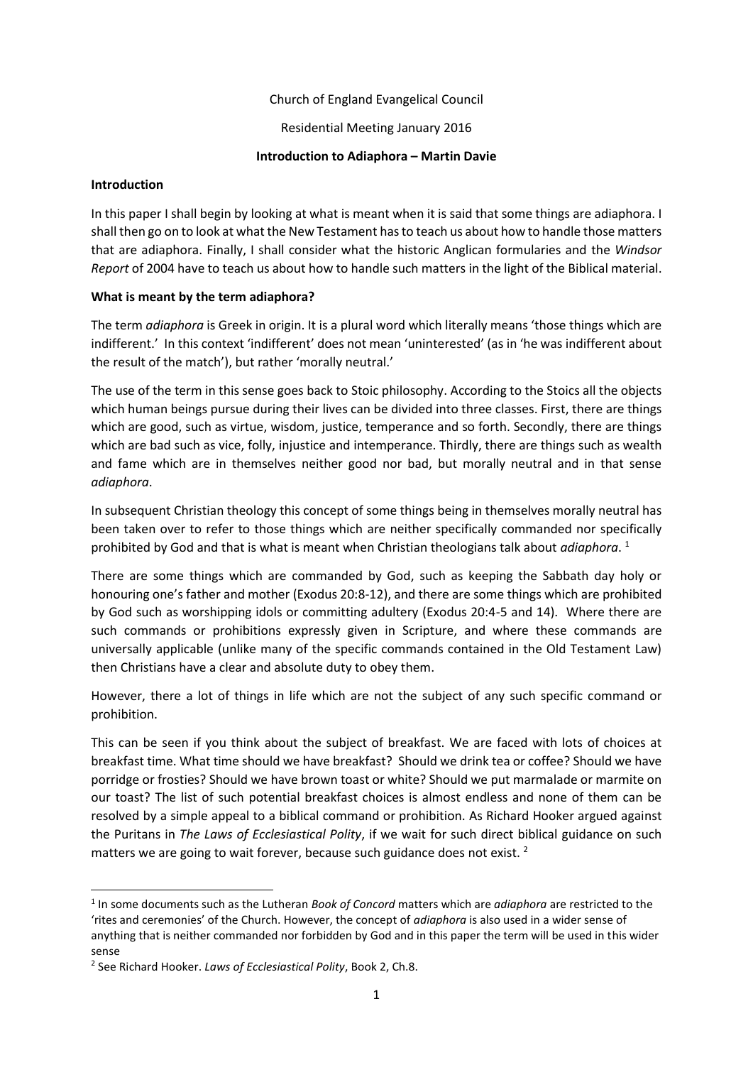#### Church of England Evangelical Council

Residential Meeting January 2016

#### **Introduction to Adiaphora – Martin Davie**

#### **Introduction**

 $\overline{a}$ 

In this paper I shall begin by looking at what is meant when it is said that some things are adiaphora. I shall then go on to look at what the New Testament has to teach us about how to handle those matters that are adiaphora. Finally, I shall consider what the historic Anglican formularies and the *Windsor Report* of 2004 have to teach us about how to handle such matters in the light of the Biblical material.

#### **What is meant by the term adiaphora?**

The term *adiaphora* is Greek in origin. It is a plural word which literally means 'those things which are indifferent.' In this context 'indifferent' does not mean 'uninterested' (as in 'he was indifferent about the result of the match'), but rather 'morally neutral.'

The use of the term in this sense goes back to Stoic philosophy. According to the Stoics all the objects which human beings pursue during their lives can be divided into three classes. First, there are things which are good, such as virtue, wisdom, justice, temperance and so forth. Secondly, there are things which are bad such as vice, folly, injustice and intemperance. Thirdly, there are things such as wealth and fame which are in themselves neither good nor bad, but morally neutral and in that sense *adiaphora*.

In subsequent Christian theology this concept of some things being in themselves morally neutral has been taken over to refer to those things which are neither specifically commanded nor specifically prohibited by God and that is what is meant when Christian theologians talk about *adiaphora*. 1

There are some things which are commanded by God, such as keeping the Sabbath day holy or honouring one's father and mother (Exodus 20:8-12), and there are some things which are prohibited by God such as worshipping idols or committing adultery (Exodus 20:4-5 and 14). Where there are such commands or prohibitions expressly given in Scripture, and where these commands are universally applicable (unlike many of the specific commands contained in the Old Testament Law) then Christians have a clear and absolute duty to obey them.

However, there a lot of things in life which are not the subject of any such specific command or prohibition.

This can be seen if you think about the subject of breakfast. We are faced with lots of choices at breakfast time. What time should we have breakfast? Should we drink tea or coffee? Should we have porridge or frosties? Should we have brown toast or white? Should we put marmalade or marmite on our toast? The list of such potential breakfast choices is almost endless and none of them can be resolved by a simple appeal to a biblical command or prohibition. As Richard Hooker argued against the Puritans in *The Laws of Ecclesiastical Polity*, if we wait for such direct biblical guidance on such matters we are going to wait forever, because such guidance does not exist.<sup>2</sup>

<sup>1</sup> In some documents such as the Lutheran *Book of Concord* matters which are *adiaphora* are restricted to the 'rites and ceremonies' of the Church. However, the concept of *adiaphora* is also used in a wider sense of anything that is neither commanded nor forbidden by God and in this paper the term will be used in this wider sense

<sup>2</sup> See Richard Hooker. *Laws of Ecclesiastical Polity*, Book 2, Ch.8.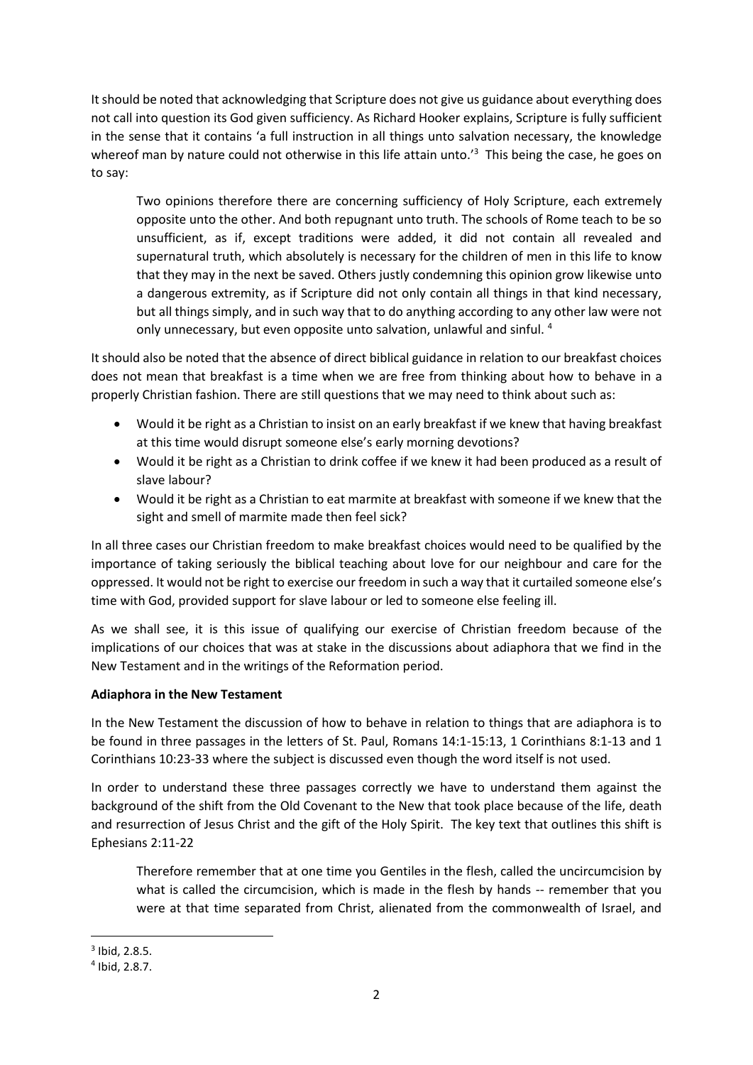It should be noted that acknowledging that Scripture does not give us guidance about everything does not call into question its God given sufficiency. As Richard Hooker explains, Scripture is fully sufficient in the sense that it contains 'a full instruction in all things unto salvation necessary, the knowledge whereof man by nature could not otherwise in this life attain unto.<sup>'3</sup> This being the case, he goes on to say:

Two opinions therefore there are concerning sufficiency of Holy Scripture, each extremely opposite unto the other. And both repugnant unto truth. The schools of Rome teach to be so unsufficient, as if, except traditions were added, it did not contain all revealed and supernatural truth, which absolutely is necessary for the children of men in this life to know that they may in the next be saved. Others justly condemning this opinion grow likewise unto a dangerous extremity, as if Scripture did not only contain all things in that kind necessary, but all things simply, and in such way that to do anything according to any other law were not only unnecessary, but even opposite unto salvation, unlawful and sinful. <sup>4</sup>

It should also be noted that the absence of direct biblical guidance in relation to our breakfast choices does not mean that breakfast is a time when we are free from thinking about how to behave in a properly Christian fashion. There are still questions that we may need to think about such as:

- Would it be right as a Christian to insist on an early breakfast if we knew that having breakfast at this time would disrupt someone else's early morning devotions?
- Would it be right as a Christian to drink coffee if we knew it had been produced as a result of slave labour?
- Would it be right as a Christian to eat marmite at breakfast with someone if we knew that the sight and smell of marmite made then feel sick?

In all three cases our Christian freedom to make breakfast choices would need to be qualified by the importance of taking seriously the biblical teaching about love for our neighbour and care for the oppressed. It would not be right to exercise our freedom in such a way that it curtailed someone else's time with God, provided support for slave labour or led to someone else feeling ill.

As we shall see, it is this issue of qualifying our exercise of Christian freedom because of the implications of our choices that was at stake in the discussions about adiaphora that we find in the New Testament and in the writings of the Reformation period.

# **Adiaphora in the New Testament**

In the New Testament the discussion of how to behave in relation to things that are adiaphora is to be found in three passages in the letters of St. Paul, Romans 14:1-15:13, 1 Corinthians 8:1-13 and 1 Corinthians 10:23-33 where the subject is discussed even though the word itself is not used.

In order to understand these three passages correctly we have to understand them against the background of the shift from the Old Covenant to the New that took place because of the life, death and resurrection of Jesus Christ and the gift of the Holy Spirit. The key text that outlines this shift is Ephesians 2:11-22

Therefore remember that at one time you Gentiles in the flesh, called the uncircumcision by what is called the circumcision, which is made in the flesh by hands -- remember that you were at that time separated from Christ, alienated from the commonwealth of Israel, and

1

 $3$  Ibid, 2.8.5.

<sup>4</sup> Ibid, 2.8.7.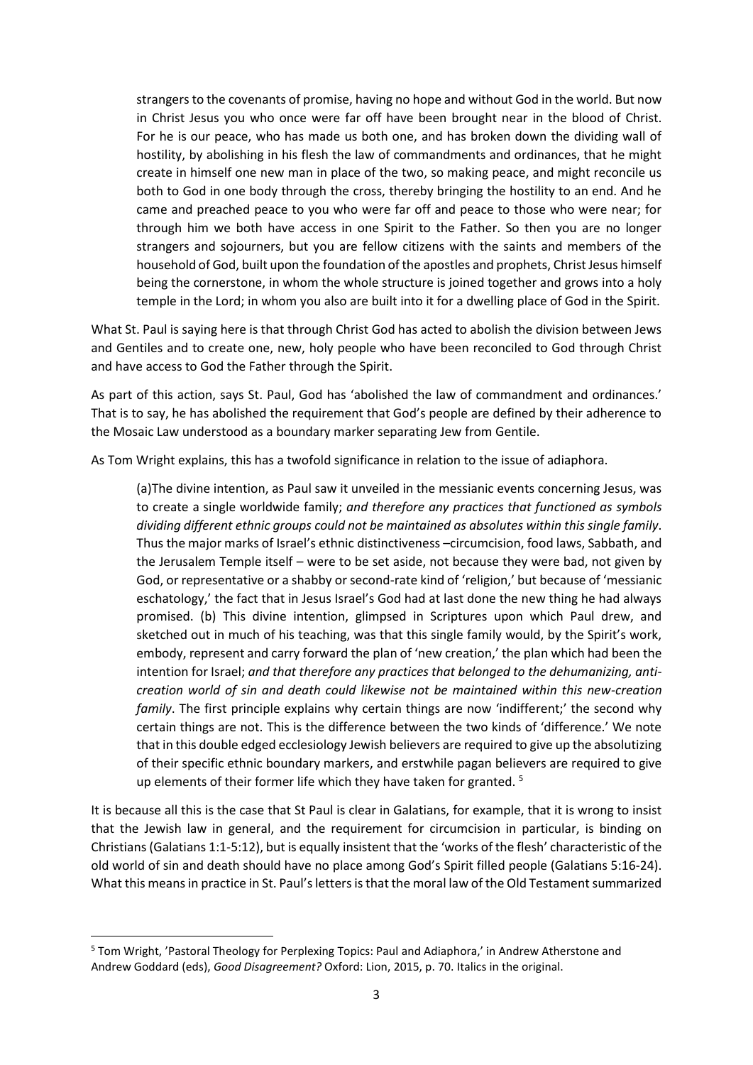strangers to the covenants of promise, having no hope and without God in the world. But now in Christ Jesus you who once were far off have been brought near in the blood of Christ. For he is our peace, who has made us both one, and has broken down the dividing wall of hostility, by abolishing in his flesh the law of commandments and ordinances, that he might create in himself one new man in place of the two, so making peace, and might reconcile us both to God in one body through the cross, thereby bringing the hostility to an end. And he came and preached peace to you who were far off and peace to those who were near; for through him we both have access in one Spirit to the Father. So then you are no longer strangers and sojourners, but you are fellow citizens with the saints and members of the household of God, built upon the foundation of the apostles and prophets, Christ Jesus himself being the cornerstone, in whom the whole structure is joined together and grows into a holy temple in the Lord; in whom you also are built into it for a dwelling place of God in the Spirit.

What St. Paul is saying here is that through Christ God has acted to abolish the division between Jews and Gentiles and to create one, new, holy people who have been reconciled to God through Christ and have access to God the Father through the Spirit.

As part of this action, says St. Paul, God has 'abolished the law of commandment and ordinances.' That is to say, he has abolished the requirement that God's people are defined by their adherence to the Mosaic Law understood as a boundary marker separating Jew from Gentile.

As Tom Wright explains, this has a twofold significance in relation to the issue of adiaphora.

(a)The divine intention, as Paul saw it unveiled in the messianic events concerning Jesus, was to create a single worldwide family; *and therefore any practices that functioned as symbols dividing different ethnic groups could not be maintained as absolutes within this single family*. Thus the major marks of Israel's ethnic distinctiveness –circumcision, food laws, Sabbath, and the Jerusalem Temple itself – were to be set aside, not because they were bad, not given by God, or representative or a shabby or second-rate kind of 'religion,' but because of 'messianic eschatology,' the fact that in Jesus Israel's God had at last done the new thing he had always promised. (b) This divine intention, glimpsed in Scriptures upon which Paul drew, and sketched out in much of his teaching, was that this single family would, by the Spirit's work, embody, represent and carry forward the plan of 'new creation,' the plan which had been the intention for Israel; *and that therefore any practices that belonged to the dehumanizing, anticreation world of sin and death could likewise not be maintained within this new-creation family*. The first principle explains why certain things are now 'indifferent;' the second why certain things are not. This is the difference between the two kinds of 'difference.' We note that in this double edged ecclesiology Jewish believers are required to give up the absolutizing of their specific ethnic boundary markers, and erstwhile pagan believers are required to give up elements of their former life which they have taken for granted.<sup>5</sup>

It is because all this is the case that St Paul is clear in Galatians, for example, that it is wrong to insist that the Jewish law in general, and the requirement for circumcision in particular, is binding on Christians (Galatians 1:1-5:12), but is equally insistent that the 'works of the flesh' characteristic of the old world of sin and death should have no place among God's Spirit filled people (Galatians 5:16-24). What this means in practice in St. Paul's letters is that the moral law of the Old Testament summarized

1

<sup>5</sup> Tom Wright, 'Pastoral Theology for Perplexing Topics: Paul and Adiaphora,' in Andrew Atherstone and Andrew Goddard (eds), *Good Disagreement?* Oxford: Lion, 2015, p. 70. Italics in the original.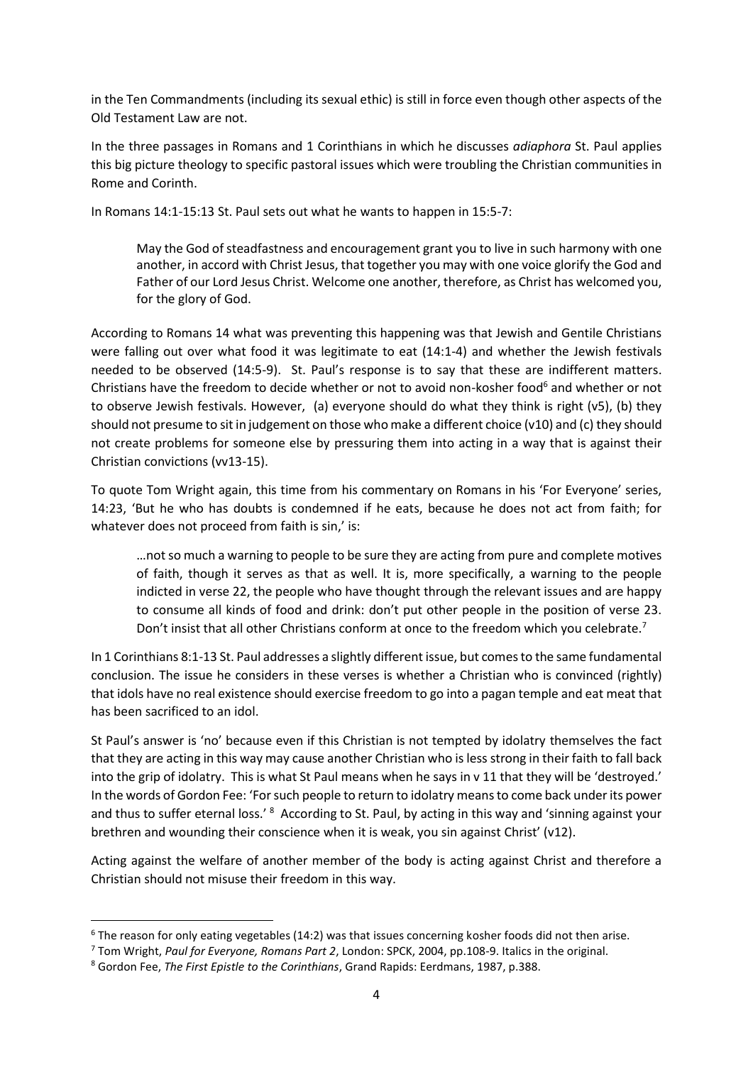in the Ten Commandments (including its sexual ethic) is still in force even though other aspects of the Old Testament Law are not.

In the three passages in Romans and 1 Corinthians in which he discusses *adiaphora* St. Paul applies this big picture theology to specific pastoral issues which were troubling the Christian communities in Rome and Corinth.

In Romans 14:1-15:13 St. Paul sets out what he wants to happen in 15:5-7:

May the God of steadfastness and encouragement grant you to live in such harmony with one another, in accord with Christ Jesus, that together you may with one voice glorify the God and Father of our Lord Jesus Christ. Welcome one another, therefore, as Christ has welcomed you, for the glory of God.

According to Romans 14 what was preventing this happening was that Jewish and Gentile Christians were falling out over what food it was legitimate to eat (14:1-4) and whether the Jewish festivals needed to be observed (14:5-9). St. Paul's response is to say that these are indifferent matters. Christians have the freedom to decide whether or not to avoid non-kosher food<sup>6</sup> and whether or not to observe Jewish festivals. However, (a) everyone should do what they think is right (v5), (b) they should not presume to sit in judgement on those who make a different choice (v10) and (c) they should not create problems for someone else by pressuring them into acting in a way that is against their Christian convictions (vv13-15).

To quote Tom Wright again, this time from his commentary on Romans in his 'For Everyone' series, 14:23, 'But he who has doubts is condemned if he eats, because he does not act from faith; for whatever does not proceed from faith is sin,' is:

…not so much a warning to people to be sure they are acting from pure and complete motives of faith, though it serves as that as well. It is, more specifically, a warning to the people indicted in verse 22, the people who have thought through the relevant issues and are happy to consume all kinds of food and drink: don't put other people in the position of verse 23. Don't insist that all other Christians conform at once to the freedom which you celebrate.<sup>7</sup>

In 1 Corinthians 8:1-13 St. Paul addresses a slightly different issue, but comes to the same fundamental conclusion. The issue he considers in these verses is whether a Christian who is convinced (rightly) that idols have no real existence should exercise freedom to go into a pagan temple and eat meat that has been sacrificed to an idol.

St Paul's answer is 'no' because even if this Christian is not tempted by idolatry themselves the fact that they are acting in this way may cause another Christian who is less strong in their faith to fall back into the grip of idolatry. This is what St Paul means when he says in v 11 that they will be 'destroyed.' In the words of Gordon Fee: 'For such people to return to idolatry means to come back under its power and thus to suffer eternal loss.' <sup>8</sup> According to St. Paul, by acting in this way and 'sinning against your brethren and wounding their conscience when it is weak, you sin against Christ' (v12).

Acting against the welfare of another member of the body is acting against Christ and therefore a Christian should not misuse their freedom in this way.

 $6$  The reason for only eating vegetables (14:2) was that issues concerning kosher foods did not then arise.

<sup>7</sup> Tom Wright, *Paul for Everyone, Romans Part 2*, London: SPCK, 2004, pp.108-9. Italics in the original.

<sup>8</sup> Gordon Fee, *The First Epistle to the Corinthians*, Grand Rapids: Eerdmans, 1987, p.388.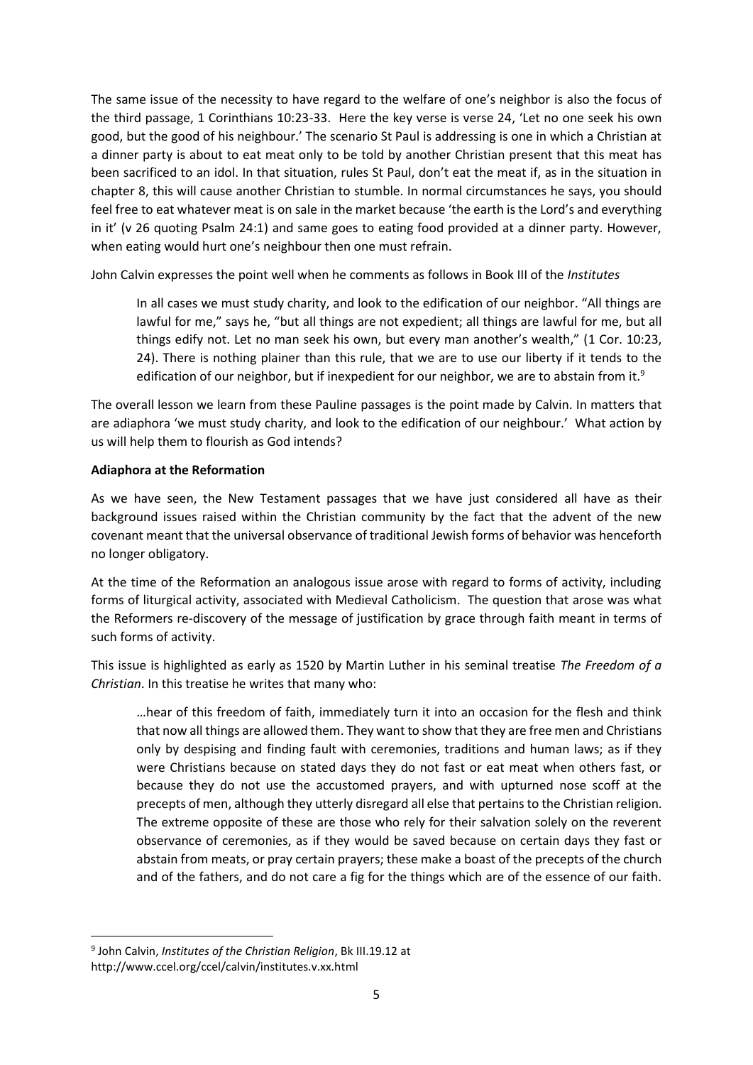The same issue of the necessity to have regard to the welfare of one's neighbor is also the focus of the third passage, 1 Corinthians 10:23-33. Here the key verse is verse 24, 'Let no one seek his own good, but the good of his neighbour.' The scenario St Paul is addressing is one in which a Christian at a dinner party is about to eat meat only to be told by another Christian present that this meat has been sacrificed to an idol. In that situation, rules St Paul, don't eat the meat if, as in the situation in chapter 8, this will cause another Christian to stumble. In normal circumstances he says, you should feel free to eat whatever meat is on sale in the market because 'the earth is the Lord's and everything in it' (v 26 quoting Psalm 24:1) and same goes to eating food provided at a dinner party. However, when eating would hurt one's neighbour then one must refrain.

John Calvin expresses the point well when he comments as follows in Book III of the *Institutes*

In all cases we must study charity, and look to the edification of our neighbor. "All things are lawful for me," says he, "but all things are not expedient; all things are lawful for me, but all things edify not. Let no man seek his own, but every man another's wealth," ([1 Cor. 10:23,](http://www.ccel.org/study/1_Corinthians%2010:23-24)  [24\)](http://www.ccel.org/study/1_Corinthians%2010:23-24). There is nothing plainer than this rule, that we are to use our liberty if it tends to the edification of our neighbor, but if inexpedient for our neighbor, we are to abstain from it.<sup>9</sup>

The overall lesson we learn from these Pauline passages is the point made by Calvin. In matters that are adiaphora 'we must study charity, and look to the edification of our neighbour.' What action by us will help them to flourish as God intends?

# **Adiaphora at the Reformation**

As we have seen, the New Testament passages that we have just considered all have as their background issues raised within the Christian community by the fact that the advent of the new covenant meant that the universal observance of traditional Jewish forms of behavior was henceforth no longer obligatory.

At the time of the Reformation an analogous issue arose with regard to forms of activity, including forms of liturgical activity, associated with Medieval Catholicism. The question that arose was what the Reformers re-discovery of the message of justification by grace through faith meant in terms of such forms of activity.

This issue is highlighted as early as 1520 by Martin Luther in his seminal treatise *The Freedom of a Christian*. In this treatise he writes that many who:

…hear of this freedom of faith, immediately turn it into an occasion for the flesh and think that now all things are allowed them. They want to show that they are free men and Christians only by despising and finding fault with ceremonies, traditions and human laws; as if they were Christians because on stated days they do not fast or eat meat when others fast, or because they do not use the accustomed prayers, and with upturned nose scoff at the precepts of men, although they utterly disregard all else that pertains to the Christian religion. The extreme opposite of these are those who rely for their salvation solely on the reverent observance of ceremonies, as if they would be saved because on certain days they fast or abstain from meats, or pray certain prayers; these make a boast of the precepts of the church and of the fathers, and do not care a fig for the things which are of the essence of our faith.

<sup>1</sup> 9 John Calvin, *Institutes of the Christian Religion*, Bk III.19.12 at http://www.ccel.org/ccel/calvin/institutes.v.xx.html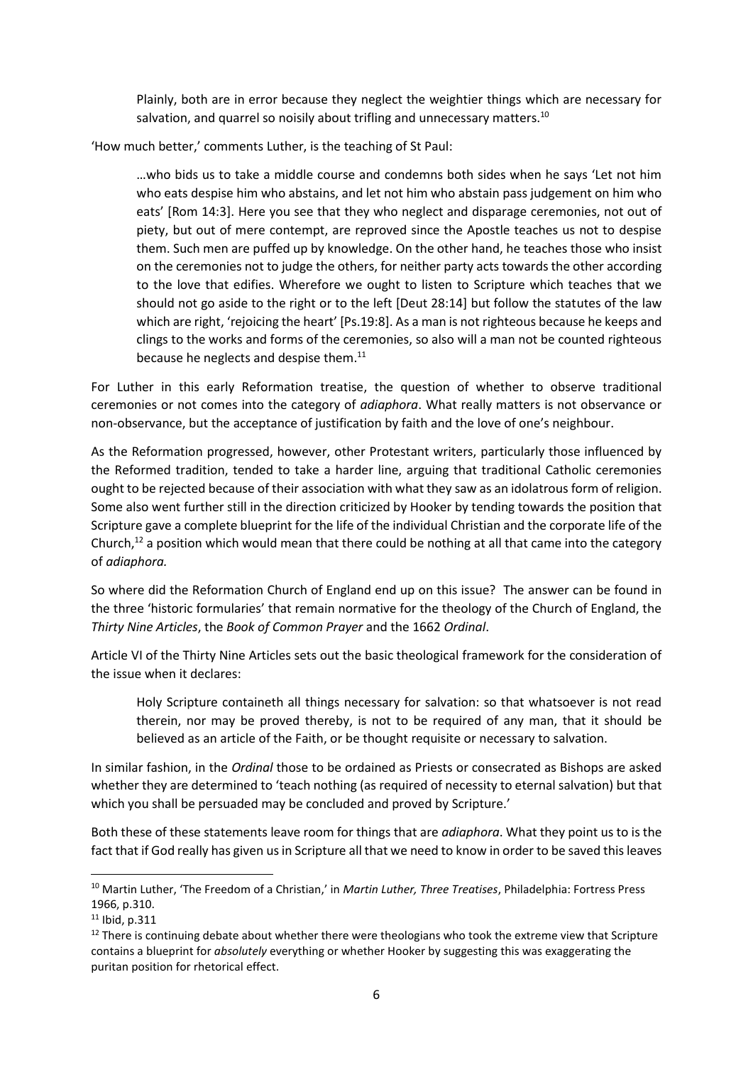Plainly, both are in error because they neglect the weightier things which are necessary for salvation, and quarrel so noisily about trifling and unnecessary matters.<sup>10</sup>

'How much better,' comments Luther, is the teaching of St Paul:

…who bids us to take a middle course and condemns both sides when he says 'Let not him who eats despise him who abstains, and let not him who abstain pass judgement on him who eats' [Rom 14:3]. Here you see that they who neglect and disparage ceremonies, not out of piety, but out of mere contempt, are reproved since the Apostle teaches us not to despise them. Such men are puffed up by knowledge. On the other hand, he teaches those who insist on the ceremonies not to judge the others, for neither party acts towards the other according to the love that edifies. Wherefore we ought to listen to Scripture which teaches that we should not go aside to the right or to the left [Deut 28:14] but follow the statutes of the law which are right, 'rejoicing the heart' [Ps.19:8]. As a man is not righteous because he keeps and clings to the works and forms of the ceremonies, so also will a man not be counted righteous because he neglects and despise them.<sup>11</sup>

For Luther in this early Reformation treatise, the question of whether to observe traditional ceremonies or not comes into the category of *adiaphora*. What really matters is not observance or non-observance, but the acceptance of justification by faith and the love of one's neighbour.

As the Reformation progressed, however, other Protestant writers, particularly those influenced by the Reformed tradition, tended to take a harder line, arguing that traditional Catholic ceremonies ought to be rejected because of their association with what they saw as an idolatrous form of religion. Some also went further still in the direction criticized by Hooker by tending towards the position that Scripture gave a complete blueprint for the life of the individual Christian and the corporate life of the Church,<sup>12</sup> a position which would mean that there could be nothing at all that came into the category of *adiaphora.* 

So where did the Reformation Church of England end up on this issue? The answer can be found in the three 'historic formularies' that remain normative for the theology of the Church of England, the *Thirty Nine Articles*, the *Book of Common Prayer* and the 1662 *Ordinal*.

Article VI of the Thirty Nine Articles sets out the basic theological framework for the consideration of the issue when it declares:

Holy Scripture containeth all things necessary for salvation: so that whatsoever is not read therein, nor may be proved thereby, is not to be required of any man, that it should be believed as an article of the Faith, or be thought requisite or necessary to salvation.

In similar fashion, in the *Ordinal* those to be ordained as Priests or consecrated as Bishops are asked whether they are determined to 'teach nothing (as required of necessity to eternal salvation) but that which you shall be persuaded may be concluded and proved by Scripture.'

Both these of these statements leave room for things that are *adiaphora*. What they point us to is the fact that if God really has given us in Scripture all that we need to know in order to be saved this leaves

<sup>10</sup> Martin Luther, 'The Freedom of a Christian,' in *Martin Luther, Three Treatises*, Philadelphia: Fortress Press 1966, p.310.

 $11$  Ibid, p.311

 $12$  There is continuing debate about whether there were theologians who took the extreme view that Scripture contains a blueprint for *absolutely* everything or whether Hooker by suggesting this was exaggerating the puritan position for rhetorical effect.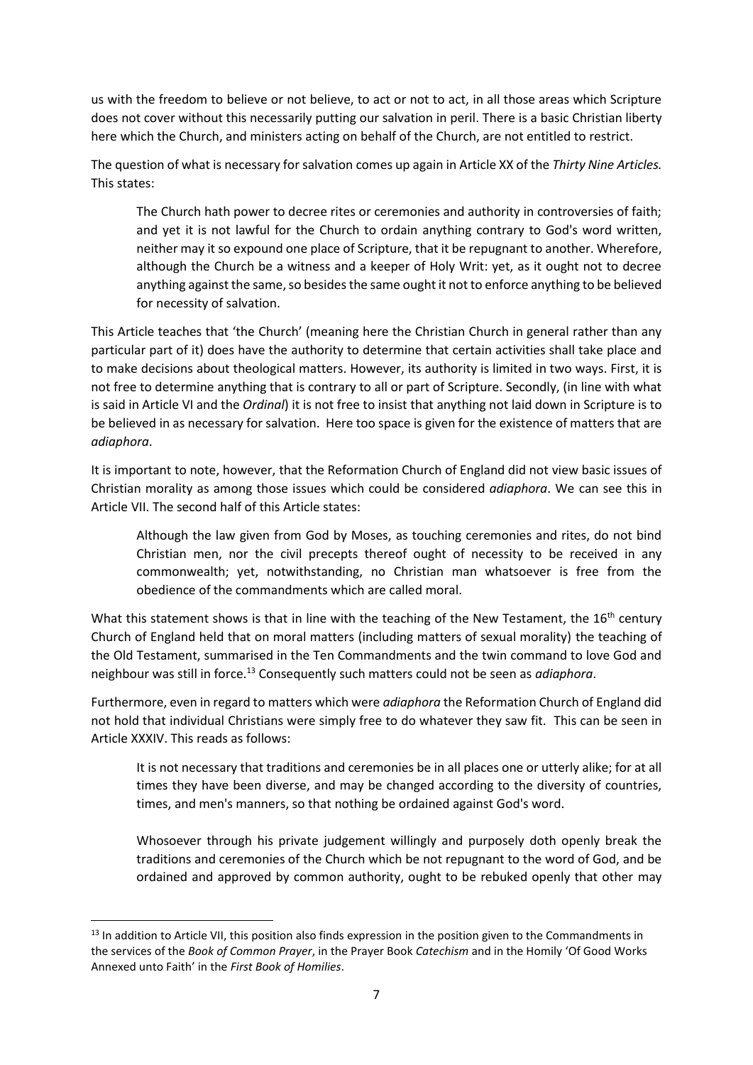us with the freedom to believe or not believe, to act or not to act, in all those areas which Scripture does not cover without this necessarily putting our salvation in peril. There is a basic Christian liberty here which the Church, and ministers acting on behalf of the Church, are not entitled to restrict.

The question of what is necessary for salvation comes up again in Article XX of the *Thirty Nine Articles.* This states:

The Church hath power to decree rites or ceremonies and authority in controversies of faith; and yet it is not lawful for the Church to ordain anything contrary to God's word written, neither may it so expound one place of Scripture, that it be repugnant to another. Wherefore, although the Church be a witness and a keeper of Holy Writ: yet, as it ought not to decree anything against the same, so besides the same ought it not to enforce anything to be believed for necessity of salvation.

This Article teaches that 'the Church' (meaning here the Christian Church in general rather than any particular part of it) does have the authority to determine that certain activities shall take place and to make decisions about theological matters. However, its authority is limited in two ways. First, it is not free to determine anything that is contrary to all or part of Scripture. Secondly, (in line with what is said in Article VI and the *Ordinal*) it is not free to insist that anything not laid down in Scripture is to be believed in as necessary for salvation. Here too space is given for the existence of matters that are *adiaphora*.

It is important to note, however, that the Reformation Church of England did not view basic issues of Christian morality as among those issues which could be considered *adiaphora*. We can see this in Article VII. The second half of this Article states:

Although the law given from God by Moses, as touching ceremonies and rites, do not bind Christian men, nor the civil precepts thereof ought of necessity to be received in any commonwealth; yet, notwithstanding, no Christian man whatsoever is free from the obedience of the commandments which are called moral.

What this statement shows is that in line with the teaching of the New Testament, the  $16<sup>th</sup>$  century Church of England held that on moral matters (including matters of sexual morality) the teaching of the Old Testament, summarised in the Ten Commandments and the twin command to love God and neighbour was still in force.<sup>13</sup> Consequently such matters could not be seen as *adiaphora*.

Furthermore, even in regard to matters which were *adiaphora* the Reformation Church of England did not hold that individual Christians were simply free to do whatever they saw fit. This can be seen in Article XXXIV. This reads as follows:

It is not necessary that traditions and ceremonies be in all places one or utterly alike; for at all times they have been diverse, and may be changed according to the diversity of countries, times, and men's manners, so that nothing be ordained against God's word.

Whosoever through his private judgement willingly and purposely doth openly break the traditions and ceremonies of the Church which be not repugnant to the word of God, and be ordained and approved by common authority, ought to be rebuked openly that other may

<sup>&</sup>lt;sup>13</sup> In addition to Article VII, this position also finds expression in the position given to the Commandments in the services of the *Book of Common Prayer*, in the Prayer Book *Catechism* and in the Homily 'Of Good Works Annexed unto Faith' in the *First Book of Homilies*.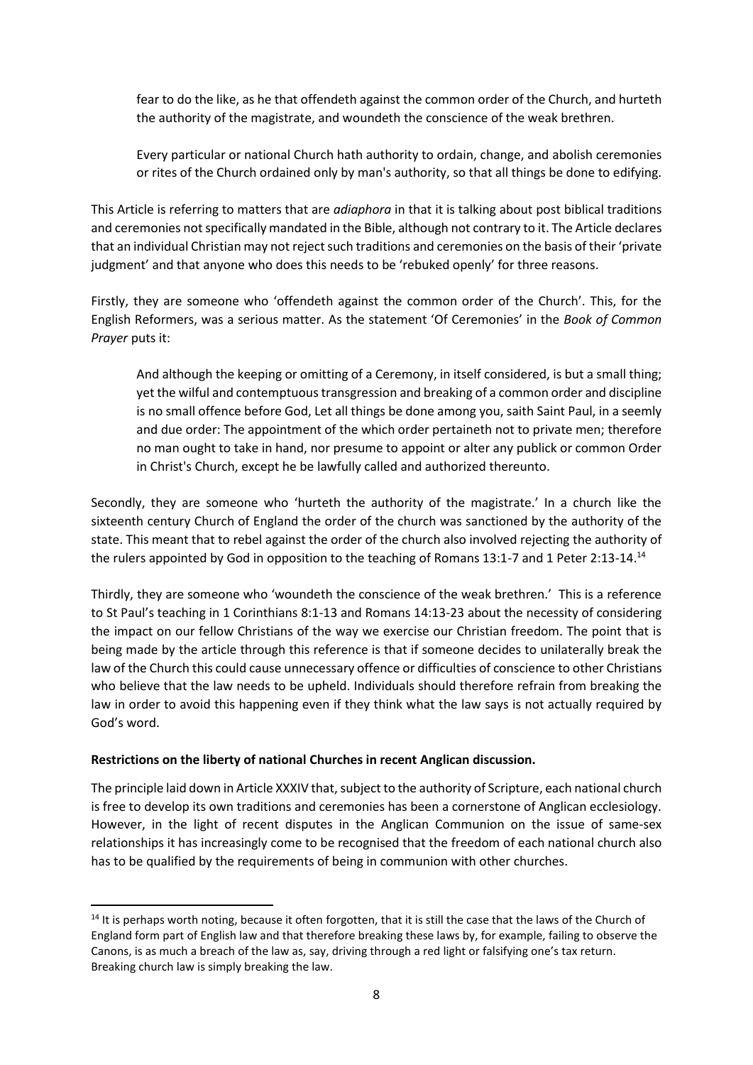fear to do the like, as he that offendeth against the common order of the Church, and hurteth the authority of the magistrate, and woundeth the conscience of the weak brethren.

Every particular or national Church hath authority to ordain, change, and abolish ceremonies or rites of the Church ordained only by man's authority, so that all things be done to edifying.

This Article is referring to matters that are *adiaphora* in that it is talking about post biblical traditions and ceremonies not specifically mandated in the Bible, although not contrary to it. The Article declares that an individual Christian may not reject such traditions and ceremonies on the basis of their 'private judgment' and that anyone who does this needs to be 'rebuked openly' for three reasons.

Firstly, they are someone who 'offendeth against the common order of the Church'. This, for the English Reformers, was a serious matter. As the statement 'Of Ceremonies' in the *Book of Common Prayer* puts it:

And although the keeping or omitting of a Ceremony, in itself considered, is but a small thing; yet the wilful and contemptuous transgression and breaking of a common order and discipline is no small offence before God, Let all things be done among you, saith Saint Paul, in a seemly and due order: The appointment of the which order pertaineth not to private men; therefore no man ought to take in hand, nor presume to appoint or alter any publick or common Order in Christ's Church, except he be lawfully called and authorized thereunto.

Secondly, they are someone who 'hurteth the authority of the magistrate.' In a church like the sixteenth century Church of England the order of the church was sanctioned by the authority of the state. This meant that to rebel against the order of the church also involved rejecting the authority of the rulers appointed by God in opposition to the teaching of Romans 13:1-7 and 1 Peter 2:13-14.<sup>14</sup>

Thirdly, they are someone who 'woundeth the conscience of the weak brethren.' This is a reference to St Paul's teaching in 1 Corinthians 8:1-13 and Romans 14:13-23 about the necessity of considering the impact on our fellow Christians of the way we exercise our Christian freedom. The point that is being made by the article through this reference is that if someone decides to unilaterally break the law of the Church this could cause unnecessary offence or difficulties of conscience to other Christians who believe that the law needs to be upheld. Individuals should therefore refrain from breaking the law in order to avoid this happening even if they think what the law says is not actually required by God's word.

# **Restrictions on the liberty of national Churches in recent Anglican discussion.**

**.** 

The principle laid down in Article XXXIV that, subject to the authority of Scripture, each national church is free to develop its own traditions and ceremonies has been a cornerstone of Anglican ecclesiology. However, in the light of recent disputes in the Anglican Communion on the issue of same-sex relationships it has increasingly come to be recognised that the freedom of each national church also has to be qualified by the requirements of being in communion with other churches.

<sup>&</sup>lt;sup>14</sup> It is perhaps worth noting, because it often forgotten, that it is still the case that the laws of the Church of England form part of English law and that therefore breaking these laws by, for example, failing to observe the Canons, is as much a breach of the law as, say, driving through a red light or falsifying one's tax return. Breaking church law is simply breaking the law.